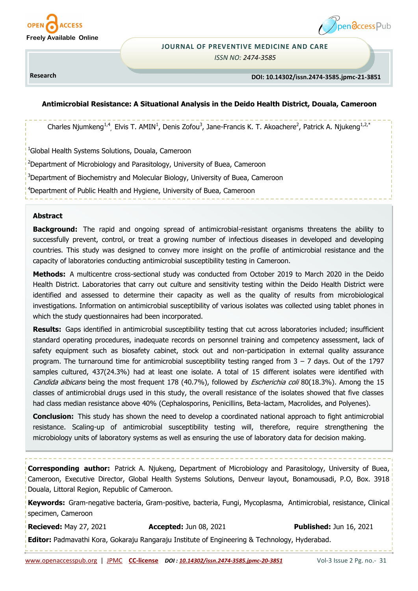



## **JOURNAL OF PREVENTIVE MEDICINE AND CARE**

*ISSN NO: 2474-3585*

**Research** 

# **DOI :** COMING SOON  **DOI: 10.14302/issn.2474-3585.jpmc-21-3851**

## **Antimicrobial Resistance: A Situational Analysis in the Deido Health District, Douala, Cameroon**

Charles Njumkeng<sup>1,4</sup>, Elvis T. AMIN<sup>1</sup>, Denis Zofou<sup>3</sup>, Jane-Francis K. T. Akoachere<sup>2</sup>, Patrick A. Njukeng<sup>1,2,\*</sup>

<sup>1</sup>Global Health Systems Solutions, Douala, Cameroon

<sup>2</sup>Department of Microbiology and Parasitology, University of Buea, Cameroon

<sup>3</sup>Department of Biochemistry and Molecular Biology, University of Buea, Cameroon

<sup>4</sup>Department of Public Health and Hygiene, University of Buea, Cameroon

### **Abstract**

**Background:** The rapid and ongoing spread of antimicrobial-resistant organisms threatens the ability to successfully prevent, control, or treat a growing number of infectious diseases in developed and developing countries. This study was designed to convey more insight on the profile of antimicrobial resistance and the capacity of laboratories conducting antimicrobial susceptibility testing in Cameroon.

**Methods:** A multicentre cross-sectional study was conducted from October 2019 to March 2020 in the Deido Health District. Laboratories that carry out culture and sensitivity testing within the Deido Health District were identified and assessed to determine their capacity as well as the quality of results from microbiological investigations. Information on antimicrobial susceptibility of various isolates was collected using tablet phones in which the study questionnaires had been incorporated.

**Results:** Gaps identified in antimicrobial susceptibility testing that cut across laboratories included; insufficient standard operating procedures, inadequate records on personnel training and competency assessment, lack of safety equipment such as biosafety cabinet, stock out and non-participation in external quality assurance program. The turnaround time for antimicrobial susceptibility testing ranged from  $3 - 7$  days. Out of the 1797 samples cultured, 437(24.3%) had at least one isolate. A total of 15 different isolates were identified with Candida albicans being the most frequent 178 (40.7%), followed by *Escherichia coli* 80(18.3%). Among the 15 classes of antimicrobial drugs used in this study, the overall resistance of the isolates showed that five classes had class median resistance above 40% (Cephalosporins, Penicillins, Beta-lactam, Macrolides, and Polyenes).

**Conclusion:** This study has shown the need to develop a coordinated national approach to fight antimicrobial resistance. Scaling-up of antimicrobial susceptibility testing will, therefore, require strengthening the microbiology units of laboratory systems as well as ensuring the use of laboratory data for decision making.

**Corresponding author:** Patrick A. Njukeng, Department of Microbiology and Parasitology, University of Buea, Cameroon, Executive Director, Global Health Systems Solutions, Denveur layout, Bonamousadi, P.O, Box. 3918 Douala, Littoral Region, Republic of Cameroon.

**Keywords:** Gram-negative bacteria, Gram-positive, bacteria, Fungi, Mycoplasma, Antimicrobial, resistance, Clinical specimen, Cameroon

**Recieved:** May 27, 2021 **Accepted:** Jun 08, 2021 **Published:** Jun 16, 2021

**Editor:** Padmavathi Kora, Gokaraju Rangaraju Institute of Engineering & Technology, Hyderabad.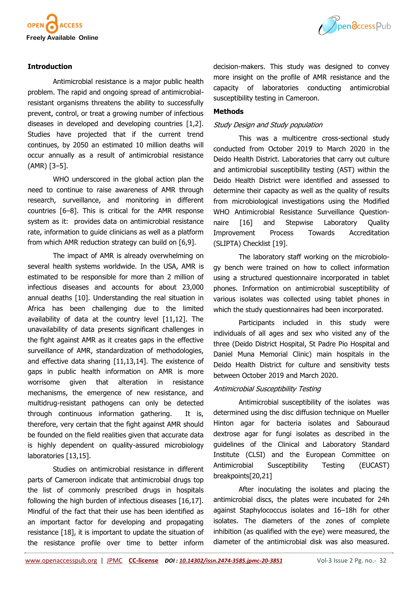



## **Introduction**

Antimicrobial resistance is a major public health problem. The rapid and ongoing spread of antimicrobialresistant organisms threatens the ability to successfully prevent, control, or treat a growing number of infectious diseases in developed and developing countries [1,2]. Studies have projected that if the current trend continues, by 2050 an estimated 10 million deaths will occur annually as a result of antimicrobial resistance (AMR) [3–5].

WHO underscored in the global action plan the need to continue to raise awareness of AMR through research, surveillance, and monitoring in different countries [6–8]. This is critical for the AMR response system as it: provides data on antimicrobial resistance rate, information to guide clinicians as well as a platform from which AMR reduction strategy can build on [6,9].

The impact of AMR is already overwhelming on several health systems worldwide. In the USA, AMR is estimated to be responsible for more than 2 million of infectious diseases and accounts for about 23,000 annual deaths [10]. Understanding the real situation in Africa has been challenging due to the limited availability of data at the country level [11,12]. The unavailability of data presents significant challenges in the fight against AMR as it creates gaps in the effective surveillance of AMR, standardization of methodologies, and effective data sharing [11,13,14]. The existence of gaps in public health information on AMR is more worrisome given that alteration in resistance mechanisms, the emergence of new resistance, and multidrug-resistant pathogens can only be detected through continuous information gathering. It is, therefore, very certain that the fight against AMR should be founded on the field realities given that accurate data is highly dependent on quality-assured microbiology laboratories [13,15].

Studies on antimicrobial resistance in different parts of Cameroon indicate that antimicrobial drugs top the list of commonly prescribed drugs in hospitals following the high burden of infectious diseases [16,17]. Mindful of the fact that their use has been identified as an important factor for developing and propagating resistance [18], it is important to update the situation of the resistance profile over time to better inform decision-makers. This study was designed to convey more insight on the profile of AMR resistance and the capacity of laboratories conducting antimicrobial susceptibility testing in Cameroon.

## **Methods**

## Study Design and Study population

This was a multicentre cross-sectional study conducted from October 2019 to March 2020 in the Deido Health District. Laboratories that carry out culture and antimicrobial susceptibility testing (AST) within the Deido Health District were identified and assessed to determine their capacity as well as the quality of results from microbiological investigations using the Modified WHO Antimicrobial Resistance Surveillance Questionnaire [16] and Stepwise Laboratory Quality Improvement Process Towards Accreditation (SLIPTA) Checklist [19].

The laboratory staff working on the microbiology bench were trained on how to collect information using a structured questionnaire incorporated in tablet phones. Information on antimicrobial susceptibility of various isolates was collected using tablet phones in which the study questionnaires had been incorporated.

Participants included in this study were individuals of all ages and sex who visited any of the three (Deido District Hospital, St Padre Pio Hospital and Daniel Muna Memorial Clinic) main hospitals in the Deido Health District for culture and sensitivity tests between October 2019 and March 2020.

## Antimicrobial Susceptibility Testing

Antimicrobial susceptibility of the isolates was determined using the disc diffusion technique on Mueller Hinton agar for bacteria isolates and Sabouraud dextrose agar for fungi isolates as described in the guidelines of the Clinical and Laboratory Standard Institute (CLSI) and the European Committee on Antimicrobial Susceptibility Testing (EUCAST) breakpoints[20,21]

After inoculating the isolates and placing the antimicrobial discs, the plates were incubated for 24h against Staphylococcus isolates and 16–18h for other isolates. The diameters of the zones of complete inhibition (as qualified with the eye) were measured, the diameter of the antimicrobial disk was also measured.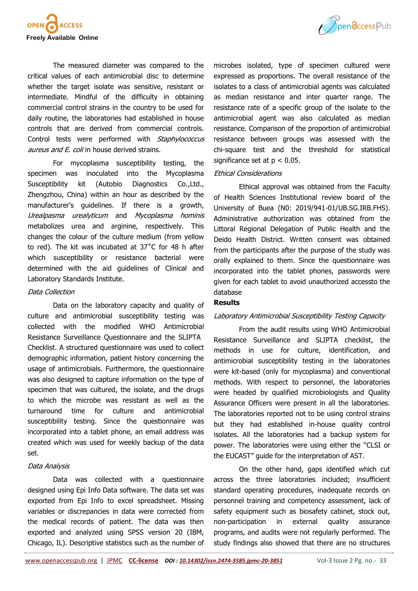

The measured diameter was compared to the critical values of each antimicrobial disc to determine whether the target isolate was sensitive, resistant or intermediate. Mindful of the difficulty in obtaining commercial control strains in the country to be used for daily routine, the laboratories had established in house controls that are derived from commercial controls. Control tests were performed with *Staphylococcus* aureus and E. coli in house derived strains.

For mycoplasma susceptibility testing, the specimen was inoculated into the Mycoplasma Susceptibility kit (Autobio Diagnostics Co.,Ltd., Zhengzhou, China) within an hour as described by the manufacturer's guidelines. If there is a growth, Urealpasma urealyticum and Mycoplasma hominis metabolizes urea and arginine, respectively. This changes the colour of the culture medium (from yellow to red). The kit was incubated at 37˚C for 48 h after which susceptibility or resistance bacterial were determined with the aid guidelines of Clinical and Laboratory Standards Institute.

### Data Collection

Data on the laboratory capacity and quality of culture and antimicrobial susceptibility testing was collected with the modified WHO Antimicrobial Resistance Surveillance Questionnaire and the SLIPTA Checklist. A structured questionnaire was used to collect demographic information, patient history concerning the usage of antimicrobials. Furthermore, the questionnaire was also designed to capture information on the type of specimen that was cultured, the isolate, and the drugs to which the microbe was resistant as well as the turnaround time for culture and antimicrobial susceptibility testing. Since the questionnaire was incorporated into a tablet phone, an email address was created which was used for weekly backup of the data set.

## Data Analysis

Data was collected with a questionnaire designed using Epi Info Data software. The data set was exported from Epi Info to excel spreadsheet. Missing variables or discrepancies in data were corrected from the medical records of patient. The data was then exported and analyzed using SPSS version 20 (IBM, Chicago, IL). Descriptive statistics such as the number of



## Ethical Considerations

Ethical approval was obtained from the Faculty of Health Sciences Institutional review board of the University of Buea (N0: 2019/941-01/UB.SG.IRB.FHS). Administrative authorization was obtained from the Littoral Regional Delegation of Public Health and the Deido Health District. Written consent was obtained from the participants after the purpose of the study was orally explained to them. Since the questionnaire was incorporated into the tablet phones, passwords were given for each tablet to avoid unauthorized accessto the database

## **Results**

## Laboratory Antimicrobial Susceptibility Testing Capacity

From the audit results using WHO Antimicrobial Resistance Surveillance and SLIPTA checklist, the methods in use for culture, identification, and antimicrobial susceptibility testing in the laboratories were kit-based (only for mycoplasma) and conventional methods. With respect to personnel, the laboratories were headed by qualified microbiologists and Quality Assurance Officers were present in all the laboratories. The laboratories reported not to be using control strains but they had established in-house quality control isolates. All the laboratories had a backup system for power. The laboratories were using either the "CLSI or the EUCAST" guide for the interpretation of AST.

On the other hand, gaps identified which cut across the three laboratories included; insufficient standard operating procedures, inadequate records on personnel training and competency assessment, lack of safety equipment such as biosafety cabinet, stock out, non-participation in external quality assurance programs, and audits were not regularly performed. The study findings also showed that there are no structures

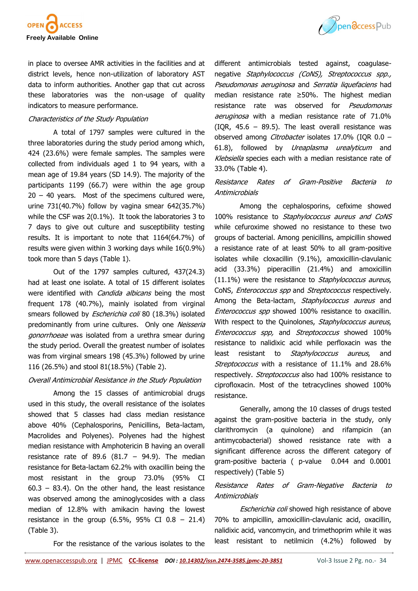

Ppendccess Pub

in place to oversee AMR activities in the facilities and at district levels, hence non-utilization of laboratory AST data to inform authorities. Another gap that cut across these laboratories was the non-usage of quality indicators to measure performance.

## Characteristics of the Study Population

A total of 1797 samples were cultured in the three laboratories during the study period among which, 424 (23.6%) were female samples. The samples were collected from individuals aged 1 to 94 years, with a mean age of 19.84 years (SD 14.9). The majority of the participants 1199 (66.7) were within the age group  $20 - 40$  years. Most of the specimens cultured were, urine 731(40.7%) follow by vagina smear 642(35.7%) while the CSF was 2(0.1%). It took the laboratories 3 to 7 days to give out culture and susceptibility testing results. It is important to note that 1164(64.7%) of results were given within 3 working days while 16(0.9%) took more than 5 days (Table 1).

Out of the 1797 samples cultured, 437(24.3) had at least one isolate. A total of 15 different isolates were identified with *Candida albicans* being the most frequent 178 (40.7%), mainly isolated from virginal smears followed by *Escherichia coli* 80 (18.3%) isolated predominantly from urine cultures. Only one Neisseria gonorrhoeae was isolated from a urethra smear during the study period. Overall the greatest number of isolates was from virginal smears 198 (45.3%) followed by urine 116 (26.5%) and stool 81(18.5%) (Table 2).

### Overall Antimicrobial Resistance in the Study Population

Among the 15 classes of antimicrobial drugs used in this study, the overall resistance of the isolates showed that 5 classes had class median resistance above 40% (Cephalosporins, Penicillins, Beta-lactam, Macrolides and Polyenes). Polyenes had the highest median resistance with Amphotericin B having an overall resistance rate of 89.6 (81.7 – 94.9). The median resistance for Beta-lactam 62.2% with oxacillin being the most resistant in the group 73.0% (95% CI  $60.3 - 83.4$ ). On the other hand, the least resistance was observed among the aminoglycosides with a class median of 12.8% with amikacin having the lowest resistance in the group  $(6.5\% , 95\% \text{ CI } 0.8 - 21.4)$ (Table 3).

different antimicrobials tested against, coagulasenegative Staphylococcus (CoNS), Streptococcus spp., Pseudomonas aeruginosa and Serratia liquefaciens had median resistance rate ≥50%. The highest median resistance rate was observed for Pseudomonas aeruginosa with a median resistance rate of 71.0% (IQR,  $45.6 - 89.5$ ). The least overall resistance was observed among Citrobacter isolates 17.0% (IQR 0.0 – 61.8), followed by *Ureaplasma urealyticum* and Klebsiella species each with a median resistance rate of 33.0% (Table 4).

# Resistance Rates of Gram-Positive Bacteria to Antimicrobials

Among the cephalosporins, cefixime showed 100% resistance to Staphylococcus aureus and CoNS while cefuroxime showed no resistance to these two groups of bacterial. Among penicillins, ampicillin showed a resistance rate of at least 50% to all gram-positive isolates while cloxacillin (9.1%), amoxicillin-clavulanic acid (33.3%) piperacillin (21.4%) and amoxicillin (11.1%) were the resistance to Staphylococcus aureus, CoNS, Enterococcus spp and Streptococcus respectively. Among the Beta-lactam, Staphylococcus aureus and Enterococcus spp showed 100% resistance to oxacillin. With respect to the Quinolones, Staphylococcus aureus, Enterococcus spp, and Streptococcus showed 100% resistance to nalidixic acid while perfloxacin was the least resistant to Staphylococcus aureus, and Streptococcus with a resistance of 11.1% and 28.6% respectively. Streptococcus also had 100% resistance to ciprofloxacin. Most of the tetracyclines showed 100% resistance.

Generally, among the 10 classes of drugs tested against the gram-positive bacteria in the study, only clarithromycin (a quinolone) and rifampicin (an antimycobacterial) showed resistance rate with a significant difference across the different category of gram-positive bacteria ( p-value 0.044 and 0.0001 respectively) (Table 5)

## Resistance Rates of Gram-Negative Bacteria to **Antimicrobials**

Escherichia coli showed high resistance of above 70% to ampicillin, amoxicillin-clavulanic acid, oxacillin, nalidixic acid, vancomycin, and trimethoprim while it was least resistant to netilmicin (4.2%) followed by

For the resistance of the various isolates to the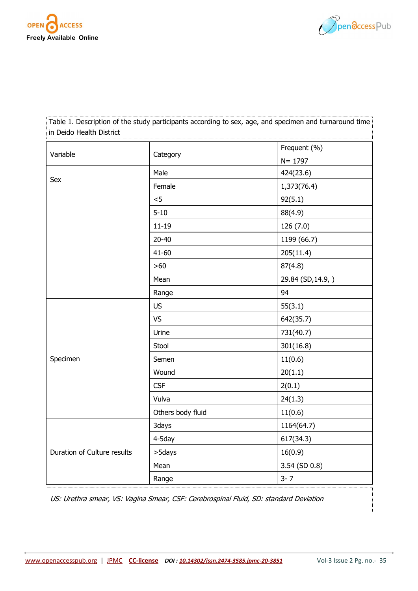



| in Deido Health District    | Table 1. Description of the study participants according to sex, age, and specimen and turnaround time |                   |
|-----------------------------|--------------------------------------------------------------------------------------------------------|-------------------|
|                             |                                                                                                        | Frequent (%)      |
| Variable                    | Category                                                                                               | $N = 1797$        |
|                             | Male                                                                                                   | 424(23.6)         |
| Sex                         | Female                                                                                                 | 1,373(76.4)       |
|                             | < 5                                                                                                    | 92(5.1)           |
|                             | $5 - 10$                                                                                               | 88(4.9)           |
|                             | $11 - 19$                                                                                              | 126 (7.0)         |
|                             | $20 - 40$                                                                                              | 1199 (66.7)       |
|                             | $41 - 60$                                                                                              | 205(11.4)         |
|                             | $>60$                                                                                                  | 87(4.8)           |
|                             | Mean                                                                                                   | 29.84 (SD, 14.9,) |
|                             | Range                                                                                                  | 94                |
|                             | <b>US</b>                                                                                              | 55(3.1)           |
|                             | <b>VS</b>                                                                                              | 642(35.7)         |
|                             | Urine                                                                                                  | 731(40.7)         |
|                             | Stool                                                                                                  | 301(16.8)         |
| Specimen                    | Semen                                                                                                  | 11(0.6)           |
|                             | Wound                                                                                                  | 20(1.1)           |
|                             | <b>CSF</b>                                                                                             | 2(0.1)            |
|                             | Vulva                                                                                                  | 24(1.3)           |
|                             | Others body fluid                                                                                      | 11(0.6)           |
|                             | 3days                                                                                                  | 1164(64.7)        |
|                             | 4-5day                                                                                                 | 617(34.3)         |
| Duration of Culture results | >5days                                                                                                 | 16(0.9)           |
|                             | Mean                                                                                                   | 3.54 (SD 0.8)     |
|                             | Range                                                                                                  | $3 - 7$           |
|                             |                                                                                                        |                   |

US: Urethra smear, VS: Vagina Smear, CSF: Cerebrospinal Fluid, SD: standard Deviation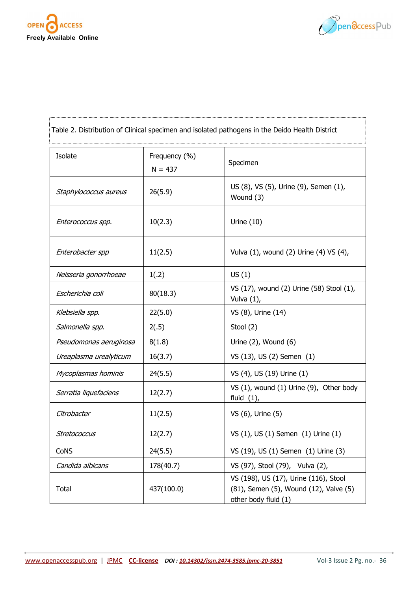



| Table 2. Distribution of Clinical specimen and isolated pathogens in the Deido Health District |                            |                                                                                                         |  |  |
|------------------------------------------------------------------------------------------------|----------------------------|---------------------------------------------------------------------------------------------------------|--|--|
| Isolate                                                                                        | Frequency (%)<br>$N = 437$ | Specimen                                                                                                |  |  |
| Staphylococcus aureus                                                                          | 26(5.9)                    | US (8), VS (5), Urine (9), Semen (1),<br>Wound (3)                                                      |  |  |
| Enterococcus spp.                                                                              | 10(2.3)                    | Urine $(10)$                                                                                            |  |  |
| Enterobacter spp                                                                               | 11(2.5)                    | Vulva (1), wound (2) Urine (4) VS (4),                                                                  |  |  |
| Neisseria gonorrhoeae                                                                          | 1(.2)                      | US(1)                                                                                                   |  |  |
| Escherichia coli                                                                               | 80(18.3)                   | VS (17), wound (2) Urine (58) Stool (1),<br>Vulva $(1)$ ,                                               |  |  |
| Klebsiella spp.                                                                                | 22(5.0)                    | VS (8), Urine (14)                                                                                      |  |  |
| Salmonella spp.                                                                                | 2(.5)                      | Stool (2)                                                                                               |  |  |
| Pseudomonas aeruginosa                                                                         | 8(1.8)                     | Urine (2), Wound (6)                                                                                    |  |  |
| Ureaplasma urealyticum                                                                         | 16(3.7)                    | VS (13), US (2) Semen (1)                                                                               |  |  |
| Mycoplasmas hominis                                                                            | 24(5.5)                    | VS (4), US (19) Urine (1)                                                                               |  |  |
| Serratia liquefaciens                                                                          | 12(2.7)                    | VS (1), wound (1) Urine (9), Other body<br>fluid $(1)$ ,                                                |  |  |
| Citrobacter                                                                                    | 11(2.5)                    | VS (6), Urine (5)                                                                                       |  |  |
| Stretococcus                                                                                   | 12(2.7)                    | VS (1), US (1) Semen (1) Urine (1)                                                                      |  |  |
| CoNS                                                                                           | 24(5.5)                    | VS (19), US (1) Semen (1) Urine (3)                                                                     |  |  |
| Candida albicans                                                                               | 178(40.7)                  | VS (97), Stool (79), Vulva (2),                                                                         |  |  |
| Total                                                                                          | 437(100.0)                 | VS (198), US (17), Urine (116), Stool<br>(81), Semen (5), Wound (12), Valve (5)<br>other body fluid (1) |  |  |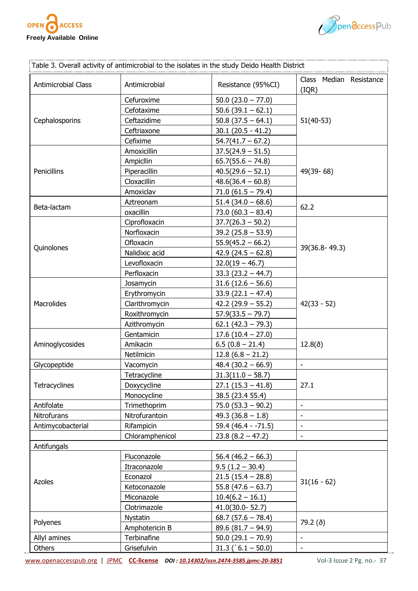



|                            | Table 3. Overall activity of antimicrobial to the isolates in the study Deido Health District |                      |                                                                                                                                                                                                                                                       |  |
|----------------------------|-----------------------------------------------------------------------------------------------|----------------------|-------------------------------------------------------------------------------------------------------------------------------------------------------------------------------------------------------------------------------------------------------|--|
| <b>Antimicrobial Class</b> | Antimicrobial                                                                                 | Resistance (95%CI)   | Class Median Resistance<br>(IQR)                                                                                                                                                                                                                      |  |
|                            | Cefuroxime                                                                                    | $50.0 (23.0 - 77.0)$ |                                                                                                                                                                                                                                                       |  |
|                            | Cefotaxime                                                                                    | $50.6(39.1 - 62.1)$  |                                                                                                                                                                                                                                                       |  |
| Cephalosporins             | Ceftazidime                                                                                   | $50.8(37.5 - 64.1)$  | $51(40-53)$                                                                                                                                                                                                                                           |  |
|                            | Ceftriaxone                                                                                   | $30.1(20.5 - 41.2)$  |                                                                                                                                                                                                                                                       |  |
|                            | Cefixime                                                                                      | $54.7(41.7 - 67.2)$  |                                                                                                                                                                                                                                                       |  |
|                            | Amoxicillin                                                                                   | $37.5(24.9 - 51.5)$  |                                                                                                                                                                                                                                                       |  |
|                            | Ampicllin                                                                                     | $65.7(55.6 - 74.8)$  |                                                                                                                                                                                                                                                       |  |
| Penicillins                | Piperacillin                                                                                  | $40.5(29.6 - 52.1)$  | 49(39-68)                                                                                                                                                                                                                                             |  |
|                            | Cloxacillin                                                                                   | $48.6(36.4 - 60.8)$  |                                                                                                                                                                                                                                                       |  |
|                            | Amoxiclav                                                                                     | $71.0(61.5 - 79.4)$  |                                                                                                                                                                                                                                                       |  |
|                            | Aztreonam                                                                                     | $51.4 (34.0 - 68.6)$ |                                                                                                                                                                                                                                                       |  |
| Beta-lactam                | oxacillin                                                                                     | $73.0(60.3 - 83.4)$  |                                                                                                                                                                                                                                                       |  |
|                            | Ciprofloxacin                                                                                 | $37.7(26.3 - 50.2)$  | 62.2<br>39(36.8-49.3)<br>$42(33 - 52)$<br>$12.8($ ð)<br>$\blacksquare$<br>27.1<br>$\blacksquare$<br>$\blacksquare$<br>$\overline{\phantom{a}}$<br>$\overline{\phantom{a}}$<br>$31(16 - 62)$<br>79.2 (ð)<br>$\overline{\phantom{a}}$<br>$\blacksquare$ |  |
|                            | Norfloxacin                                                                                   | $39.2(25.8 - 53.9)$  |                                                                                                                                                                                                                                                       |  |
|                            | Ofloxacin                                                                                     | $55.9(45.2 - 66.2)$  |                                                                                                                                                                                                                                                       |  |
| Quinolones                 | Nalidixic acid                                                                                | $42.9(24.5 - 62.8)$  |                                                                                                                                                                                                                                                       |  |
|                            | Levofloxacin                                                                                  | $32.0(19 - 46.7)$    |                                                                                                                                                                                                                                                       |  |
|                            | Perfloxacin                                                                                   | $33.3(23.2 - 44.7)$  |                                                                                                                                                                                                                                                       |  |
|                            | Josamycin                                                                                     | $31.6(12.6 - 56.6)$  |                                                                                                                                                                                                                                                       |  |
|                            | Erythromycin                                                                                  | $33.9(22.1 - 47.4)$  |                                                                                                                                                                                                                                                       |  |
| Macrolides                 | Clarithromycin                                                                                | $42.2(29.9 - 55.2)$  |                                                                                                                                                                                                                                                       |  |
|                            | Roxithromycin                                                                                 | $57.9(33.5 - 79.7)$  |                                                                                                                                                                                                                                                       |  |
|                            | Azithromycin                                                                                  | $62.1(42.3 - 79.3)$  |                                                                                                                                                                                                                                                       |  |
|                            | Gentamicin                                                                                    | $17.6(10.4 - 27.0)$  |                                                                                                                                                                                                                                                       |  |
| Aminoglycosides            | Amikacin                                                                                      | $6.5(0.8 - 21.4)$    |                                                                                                                                                                                                                                                       |  |
|                            | Netilmicin                                                                                    | $12.8(6.8 - 21.2)$   |                                                                                                                                                                                                                                                       |  |
| Glycopeptide               | Vacomycin                                                                                     | $48.4(30.2 - 66.9)$  |                                                                                                                                                                                                                                                       |  |
|                            | Tetracycline                                                                                  | $31.3(11.0 - 58.7)$  |                                                                                                                                                                                                                                                       |  |
| Tetracyclines              | Doxycycline                                                                                   | $27.1(15.3 - 41.8)$  |                                                                                                                                                                                                                                                       |  |
|                            | Monocycline                                                                                   | 38.5 (23.4 55.4)     |                                                                                                                                                                                                                                                       |  |
| Antifolate                 | Trimethoprim                                                                                  | $75.0(53.3 - 90.2)$  |                                                                                                                                                                                                                                                       |  |
| Nitrofurans                | Nitrofurantoin                                                                                | $49.3 (36.8 - 1.8)$  |                                                                                                                                                                                                                                                       |  |
| Antimycobacterial          | Rifampicin                                                                                    | $59.4 (46.4 - 71.5)$ |                                                                                                                                                                                                                                                       |  |
|                            | Chloramphenicol                                                                               | $23.8(8.2 - 47.2)$   |                                                                                                                                                                                                                                                       |  |
| Antifungals                |                                                                                               |                      |                                                                                                                                                                                                                                                       |  |
|                            | Fluconazole                                                                                   | $56.4(46.2-66.3)$    |                                                                                                                                                                                                                                                       |  |
|                            | Itraconazole                                                                                  | $9.5(1.2 - 30.4)$    |                                                                                                                                                                                                                                                       |  |
|                            | Econazol                                                                                      | $21.5(15.4 - 28.8)$  |                                                                                                                                                                                                                                                       |  |
| Azoles                     | Ketoconazole                                                                                  | $55.8(47.6 - 63.7)$  |                                                                                                                                                                                                                                                       |  |
|                            | Miconazole                                                                                    | $10.4(6.2 - 16.1)$   |                                                                                                                                                                                                                                                       |  |
|                            | Clotrimazole                                                                                  | $41.0(30.0 - 52.7)$  |                                                                                                                                                                                                                                                       |  |
|                            | Nystatin                                                                                      | $68.7(57.6 - 78.4)$  |                                                                                                                                                                                                                                                       |  |
| Polyenes                   | Amphotericin B                                                                                | $89.6 (81.7 - 94.9)$ |                                                                                                                                                                                                                                                       |  |
| Allyl amines               | Terbinafine                                                                                   | $50.0$ (29.1 - 70.9) |                                                                                                                                                                                                                                                       |  |
| Others                     | Grisefulvin                                                                                   | $31.3('6.1 - 50.0)$  |                                                                                                                                                                                                                                                       |  |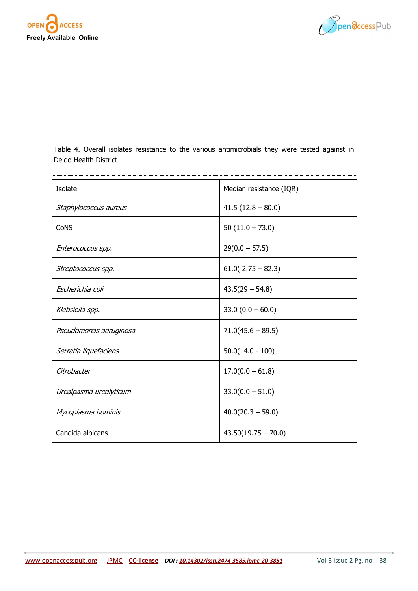![](_page_7_Picture_0.jpeg)

![](_page_7_Picture_1.jpeg)

Table 4. Overall isolates resistance to the various antimicrobials they were tested against in Deido Health District

| Isolate                | Median resistance (IQR) |
|------------------------|-------------------------|
| Staphylococcus aureus  | $41.5(12.8 - 80.0)$     |
| <b>CoNS</b>            | $50(11.0 - 73.0)$       |
| Enterococcus spp.      | $29(0.0 - 57.5)$        |
| Streptococcus spp.     | $61.0(2.75 - 82.3)$     |
| Escherichia coli       | $43.5(29 - 54.8)$       |
| Klebsiella spp.        | 33.0 $(0.0 - 60.0)$     |
| Pseudomonas aeruginosa | $71.0(45.6 - 89.5)$     |
| Serratia liquefaciens  | $50.0(14.0 - 100)$      |
| Citrobacter            | $17.0(0.0 - 61.8)$      |
| Urealpasma urealyticum | $33.0(0.0 - 51.0)$      |
| Mycoplasma hominis     | $40.0(20.3 - 59.0)$     |
| Candida albicans       | $43.50(19.75 - 70.0)$   |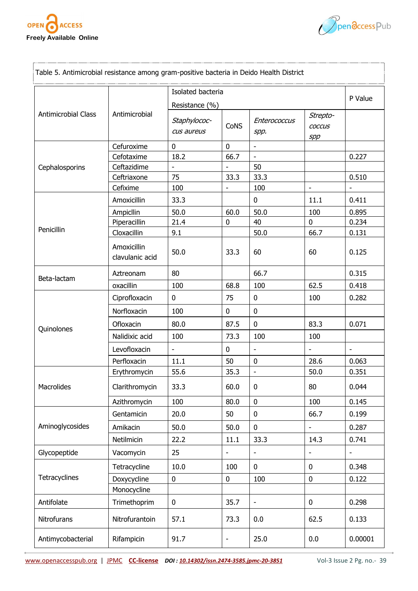![](_page_8_Picture_0.jpeg)

![](_page_8_Picture_1.jpeg)

|                            |                                |                            | Isolated bacteria        |                              |                                  |                          |  |
|----------------------------|--------------------------------|----------------------------|--------------------------|------------------------------|----------------------------------|--------------------------|--|
|                            | Antimicrobial                  | Resistance (%)             |                          |                              |                                  |                          |  |
| <b>Antimicrobial Class</b> |                                | Staphylococ-<br>cus aureus | <b>CoNS</b>              | Enterococcus<br>spp.         | Strepto-<br><b>COCCUS</b><br>spp |                          |  |
|                            | Cefuroxime                     | 0                          | $\mathbf 0$              | $\blacksquare$               |                                  |                          |  |
|                            | Cefotaxime                     | 18.2                       | 66.7                     | $\overline{\phantom{a}}$     |                                  | 0.227                    |  |
| Cephalosporins             | Ceftazidime                    | $\blacksquare$             | $\overline{\phantom{a}}$ | 50                           |                                  |                          |  |
|                            | Ceftriaxone                    | 75                         | 33.3                     | 33.3                         |                                  | 0.510                    |  |
|                            | Cefixime                       | 100                        |                          | 100                          | $\overline{\phantom{a}}$         | $\overline{\phantom{a}}$ |  |
|                            | Amoxicillin                    | 33.3                       |                          | 0                            | 11.1                             | 0.411                    |  |
|                            | Ampicllin                      | 50.0                       | 60.0                     | 50.0                         | 100                              | 0.895                    |  |
|                            | Piperacillin                   | 21.4                       | $\mathbf 0$              | 40                           | $\mathbf 0$                      | 0.234                    |  |
| Penicillin                 | Cloxacillin                    | 9.1                        |                          | 50.0                         | 66.7                             | 0.131                    |  |
|                            | Amoxicillin<br>clavulanic acid | 50.0                       | 33.3                     | 60                           | 60                               | 0.125                    |  |
| Beta-lactam                | Aztreonam                      | 80                         |                          | 66.7                         |                                  | 0.315                    |  |
|                            | oxacillin                      | 100                        | 68.8                     | 100                          | 62.5                             | 0.418                    |  |
|                            | Ciprofloxacin                  | 0                          | 75                       | 0                            | 100                              | 0.282                    |  |
|                            | Norfloxacin                    | 100                        | $\mathbf 0$              | 0                            |                                  |                          |  |
|                            | Ofloxacin                      | 80.0                       | 87.5                     | $\mathbf 0$                  | 83.3                             | 0.071                    |  |
| Quinolones                 | Nalidixic acid                 | 100                        | 73.3                     | 100                          | 100                              |                          |  |
|                            | Levofloxacin                   | $\overline{\phantom{a}}$   | $\mathbf 0$              | $\overline{\phantom{a}}$     | $\overline{\phantom{a}}$         | $\overline{\phantom{a}}$ |  |
|                            | Perfloxacin                    | 11.1                       | 50                       | 0                            | 28.6                             | 0.063                    |  |
|                            | Erythromycin                   | 55.6                       | 35.3                     |                              | 50.0                             | 0.351                    |  |
| Macrolides                 | Clarithromycin                 | 33.3                       | 60.0                     | 0                            | 80                               | 0.044                    |  |
|                            | Azithromycin                   | 100                        | 80.0                     | $\pmb{0}$                    | 100                              | 0.145                    |  |
|                            | Gentamicin                     | 20.0                       | 50                       | 0                            | 66.7                             | 0.199                    |  |
| Aminoglycosides            | Amikacin                       | 50.0                       | 50.0                     | $\mathbf 0$                  | $\overline{\phantom{0}}$         | 0.287                    |  |
|                            | Netilmicin                     | 22.2                       | 11.1                     | 33.3                         | 14.3                             | 0.741                    |  |
| Glycopeptide               | Vacomycin                      | 25                         |                          | $\qquad \qquad \blacksquare$ | $\overline{\phantom{a}}$         |                          |  |
| Tetracyclines              | Tetracycline                   | 10.0                       | 100                      | 0                            | 0                                | 0.348                    |  |
|                            | Doxycycline                    | $\pmb{0}$                  | $\pmb{0}$                | 100                          | $\pmb{0}$                        | 0.122                    |  |
|                            | Monocycline                    |                            |                          |                              |                                  |                          |  |
| Antifolate                 | Trimethoprim                   | $\mathbf 0$                | 35.7                     | $\qquad \qquad \blacksquare$ | $\mathbf 0$                      | 0.298                    |  |
| Nitrofurans                | Nitrofurantoin                 | 57.1                       | 73.3                     | 0.0                          | 62.5                             | 0.133                    |  |
| Antimycobacterial          | Rifampicin                     | 91.7                       |                          | 25.0                         | 0.0                              | 0.00001                  |  |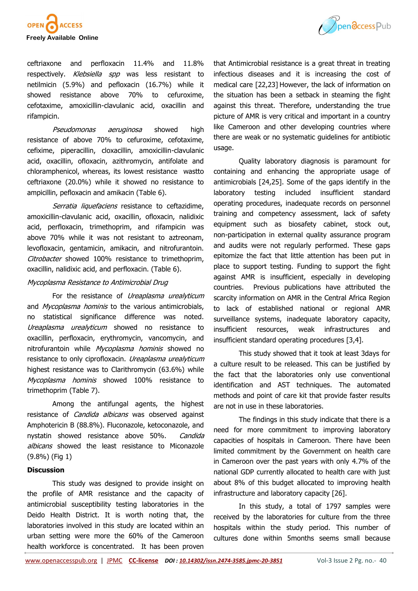![](_page_9_Picture_0.jpeg)

![](_page_9_Picture_1.jpeg)

ceftriaxone and perfloxacin 11.4% and 11.8% respectively. Klebsiella spp was less resistant to netilmicin (5.9%) and pefloxacin (16.7%) while it showed resistance above 70% to cefuroxime, cefotaxime, amoxicillin-clavulanic acid, oxacillin and rifampicin.

Pseudomonas aeruginosa showed high resistance of above 70% to cefuroxime, cefotaxime, cefixime, piperacillin, cloxacillin, amoxicillin-clavulanic acid, oxacillin, ofloxacin, azithromycin, antifolate and chloramphenicol, whereas, its lowest resistance wastto ceftriaxone (20.0%) while it showed no resistance to ampicillin, pefloxacin and amikacin (Table 6).

Serratia liquefaciens resistance to ceftazidime, amoxicillin-clavulanic acid, oxacillin, ofloxacin, nalidixic acid, perfloxacin, trimethoprim, and rifampicin was above 70% while it was not resistant to aztreonam, levofloxacin, gentamicin, amikacin, and nitrofurantoin. Citrobacter showed 100% resistance to trimethoprim, oxacillin, nalidixic acid, and perfloxacin. (Table 6).

### Mycoplasma Resistance to Antimicrobial Drug

For the resistance of *Ureaplasma urealyticum* and Mycoplasma hominis to the various antimicrobials, no statistical significance difference was noted. Ureaplasma urealyticum showed no resistance to oxacillin, perfloxacin, erythromycin, vancomycin, and nitrofurantoin while Mycoplasma hominis showed no resistance to only ciprofloxacin. Ureaplasma urealyticum highest resistance was to Clarithromycin (63.6%) while Mycoplasma hominis showed 100% resistance to trimethoprim (Table 7).

Among the antifungal agents, the highest resistance of *Candida albicans* was observed against Amphotericin B (88.8%). Fluconazole, ketoconazole, and nystatin showed resistance above 50%. Candida albicans showed the least resistance to Miconazole (9.8%) (Fig 1)

### **Discussion**

This study was designed to provide insight on the profile of AMR resistance and the capacity of antimicrobial susceptibility testing laboratories in the Deido Health District. It is worth noting that, the laboratories involved in this study are located within an urban setting were more the 60% of the Cameroon health workforce is concentrated. It has been proven

that Antimicrobial resistance is a great threat in treating infectious diseases and it is increasing the cost of medical care [22,23] However, the lack of information on the situation has been a setback in steaming the fight against this threat. Therefore, understanding the true picture of AMR is very critical and important in a country like Cameroon and other developing countries where there are weak or no systematic guidelines for antibiotic usage.

Quality laboratory diagnosis is paramount for containing and enhancing the appropriate usage of antimicrobials [24,25]. Some of the gaps identify in the laboratory testing included insufficient standard operating procedures, inadequate records on personnel training and competency assessment, lack of safety equipment such as biosafety cabinet, stock out, non-participation in external quality assurance program and audits were not regularly performed. These gaps epitomize the fact that little attention has been put in place to support testing. Funding to support the fight against AMR is insufficient, especially in developing countries. Previous publications have attributed the scarcity information on AMR in the Central Africa Region to lack of established national or regional AMR surveillance systems, inadequate laboratory capacity, insufficient resources, weak infrastructures and insufficient standard operating procedures [3,4].

This study showed that it took at least 3days for a culture result to be released. This can be justified by the fact that the laboratories only use conventional identification and AST techniques. The automated methods and point of care kit that provide faster results are not in use in these laboratories.

The findings in this study indicate that there is a need for more commitment to improving laboratory capacities of hospitals in Cameroon. There have been limited commitment by the Government on health care in Cameroon over the past years with only 4.7% of the national GDP currently allocated to health care with just about 8% of this budget allocated to improving health infrastructure and laboratory capacity [26].

In this study, a total of 1797 samples were received by the laboratories for culture from the three hospitals within the study period. This number of cultures done within 5months seems small because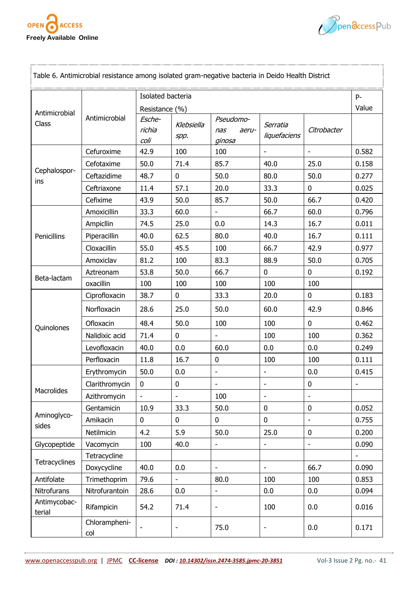![](_page_10_Picture_0.jpeg)

![](_page_10_Picture_1.jpeg)

|                            | Table 6. Antimicrobial resistance among isolated gram-negative bacteria in Deido Health District |                          |                          |                                     |                          |             |                                                    |
|----------------------------|--------------------------------------------------------------------------------------------------|--------------------------|--------------------------|-------------------------------------|--------------------------|-------------|----------------------------------------------------|
|                            |                                                                                                  | Isolated bacteria        |                          |                                     |                          |             | P-                                                 |
|                            | Antimicrobial                                                                                    | Resistance (%)           |                          |                                     |                          |             | Value                                              |
| Antimicrobial<br>Class     |                                                                                                  | Esche-<br>richia<br>coli | Klebsiella<br>spp.       | Pseudomo-<br>nas<br>aeru-<br>ginosa | Serratia<br>liquefaciens | Citrobacter |                                                    |
|                            | Cefuroxime                                                                                       | 42.9                     | 100                      | 100                                 |                          |             | 0.582                                              |
|                            | Cefotaxime                                                                                       | 50.0                     | 71.4                     | 85.7                                | 40.0                     | 25.0        | 0.158                                              |
| Cephalospor-               | Ceftazidime                                                                                      | 48.7                     | $\mathbf 0$              | 50.0                                | 80.0                     | 50.0        | 0.277                                              |
| ins                        | Ceftriaxone                                                                                      | 11.4                     | 57.1                     | 20.0                                | 33.3                     | $\mathbf 0$ | 0.025                                              |
|                            | Cefixime                                                                                         | 43.9                     | 50.0                     | 85.7                                | 50.0                     | 66.7        | 0.420                                              |
|                            | Amoxicillin                                                                                      | 33.3                     | 60.0                     |                                     | 66.7                     | 60.0        | 0.796                                              |
| Penicillins<br>Beta-lactam | Ampicllin                                                                                        | 74.5                     | 25.0                     | 0.0                                 | 14.3                     | 16.7        | 0.011                                              |
|                            | Piperacillin                                                                                     | 40.0                     | 62.5                     | 80.0                                | 40.0                     | 16.7        | 0.111                                              |
|                            | Cloxacillin                                                                                      | 55.0                     | 45.5                     | 100                                 | 66.7                     | 42.9        | 0.977                                              |
|                            | Amoxiclav                                                                                        | 81.2                     | 100                      | 83.3                                | 88.9                     | 50.0        | 0.705                                              |
|                            | Aztreonam                                                                                        | 53.8                     | 50.0                     | 66.7                                | $\mathbf 0$              | $\mathbf 0$ | 0.192                                              |
|                            | oxacillin                                                                                        | 100                      | 100                      | 100                                 | 100                      | 100         |                                                    |
|                            | Ciprofloxacin                                                                                    | 38.7                     | $\mathbf 0$              | 33.3                                | 20.0                     | $\mathbf 0$ | 0.183                                              |
|                            | Norfloxacin                                                                                      | 28.6                     | 25.0                     | 50.0                                | 60.0                     | 42.9        | 0.846                                              |
| Quinolones                 | Ofloxacin                                                                                        | 48.4                     | 50.0                     | 100                                 | 100                      | $\mathbf 0$ | 0.462                                              |
|                            | Nalidixic acid                                                                                   | 71.4                     | $\mathbf 0$              | $\blacksquare$                      | 100                      | 100         | 0.362                                              |
|                            | Levofloxacin                                                                                     | 40.0                     | 0.0                      | 60.0                                | 0.0                      | 0.0         | 0.249                                              |
|                            | Perfloxacin                                                                                      | 11.8                     | 16.7                     | 0                                   | 100                      | 100         | 0.111                                              |
|                            | Erythromycin                                                                                     | 50.0                     | 0.0                      | $\overline{a}$                      |                          | 0.0         | 0.415                                              |
|                            | Clarithromycin                                                                                   | $\mathbf 0$              | 0                        |                                     |                          | $\pmb{0}$   |                                                    |
| Macrolides                 | Azithromycin                                                                                     |                          |                          | 100                                 |                          |             |                                                    |
|                            | Gentamicin                                                                                       | 10.9                     | 33.3                     | 50.0                                | $\pmb{0}$                | $\pmb{0}$   | 0.052                                              |
| Aminoglyco-<br>sides       | Amikacin                                                                                         | $\mathbf 0$              | 0                        | $\pmb{0}$                           | $\mathbf 0$              |             | 0.755<br>0.200<br>0.090<br>0.090<br>0.853<br>0.094 |
|                            | Netilmicin                                                                                       | 4.2                      | 5.9                      | 50.0                                | 25.0                     | 0           |                                                    |
| Glycopeptide               | Vacomycin                                                                                        | 100                      | 40.0                     | $\overline{\phantom{a}}$            | -                        |             |                                                    |
|                            | Tetracycline                                                                                     |                          |                          |                                     |                          |             |                                                    |
| Tetracyclines              | Doxycycline                                                                                      | 40.0                     | 0.0                      | $\frac{1}{2}$                       |                          | 66.7        |                                                    |
| Antifolate                 | Trimethoprim                                                                                     | 79.6                     | $\overline{\phantom{0}}$ | 80.0                                | 100                      | 100         |                                                    |
| Nitrofurans                | Nitrofurantoin                                                                                   | 28.6                     | 0.0                      | $\overline{\phantom{0}}$            | 0.0                      | 0.0         |                                                    |
| Antimycobac-<br>terial     | Rifampicin                                                                                       | 54.2                     | 71.4                     | -                                   | 100                      | 0.0         | 0.016                                              |
|                            | Chlorampheni-<br>col                                                                             |                          |                          | 75.0                                |                          | 0.0         | 0.171                                              |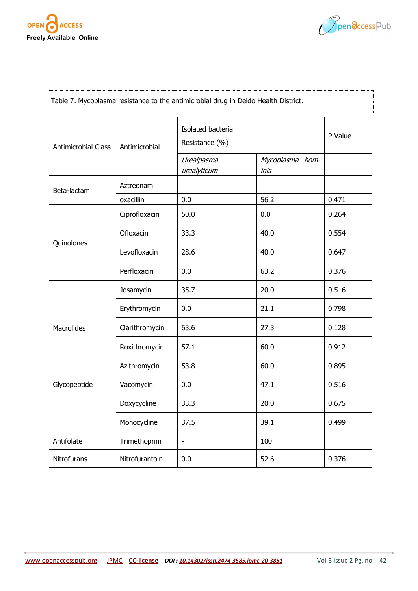![](_page_11_Picture_0.jpeg)

![](_page_11_Picture_1.jpeg)

| <b>Antimicrobial Class</b> | Antimicrobial  | Isolated bacteria<br>Resistance (%) | P Value                 |       |
|----------------------------|----------------|-------------------------------------|-------------------------|-------|
|                            |                | Urealpasma<br>urealyticum           | Mycoplasma hom-<br>inis |       |
| Beta-lactam                | Aztreonam      |                                     |                         |       |
|                            | oxacillin      | 0.0                                 | 56.2                    | 0.471 |
|                            | Ciprofloxacin  | 50.0                                | 0.0                     | 0.264 |
|                            | Ofloxacin      | 33.3                                | 40.0                    | 0.554 |
| Quinolones                 | Levofloxacin   | 28.6                                | 40.0                    | 0.647 |
|                            | Perfloxacin    | 0.0                                 | 63.2                    | 0.376 |
|                            | Josamycin      | 35.7                                | 20.0                    | 0.516 |
|                            | Erythromycin   | 0.0                                 | 21.1                    | 0.798 |
| Macrolides                 | Clarithromycin | 63.6                                | 27.3                    | 0.128 |
|                            | Roxithromycin  | 57.1                                | 60.0                    | 0.912 |
|                            | Azithromycin   | 53.8                                | 60.0                    | 0.895 |
| Glycopeptide               | Vacomycin      | 0.0                                 | 47.1                    | 0.516 |
|                            | Doxycycline    | 33.3                                | 20.0                    | 0.675 |
|                            | Monocycline    | 37.5                                | 39.1                    | 0.499 |
| Antifolate                 | Trimethoprim   | $\overline{\phantom{0}}$            | 100                     |       |
| Nitrofurans                | Nitrofurantoin | 0.0                                 | 52.6                    | 0.376 |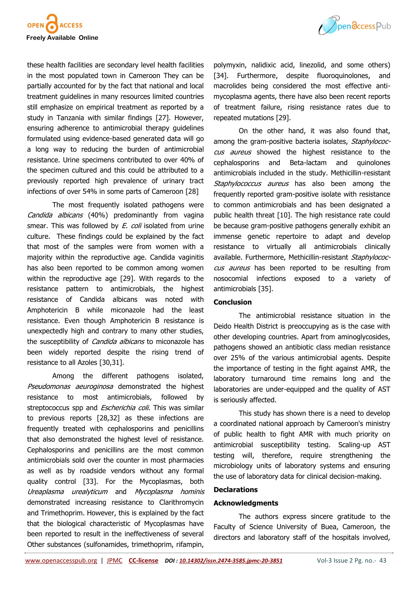![](_page_12_Picture_0.jpeg)

these health facilities are secondary level health facilities in the most populated town in Cameroon They can be partially accounted for by the fact that national and local treatment guidelines in many resources limited countries still emphasize on empirical treatment as reported by a study in Tanzania with similar findings [27]. However, ensuring adherence to antimicrobial therapy guidelines formulated using evidence-based generated data will go a long way to reducing the burden of antimicrobial resistance. Urine specimens contributed to over 40% of the specimen cultured and this could be attributed to a previously reported high prevalence of urinary tract infections of over 54% in some parts of Cameroon [28]

The most frequently isolated pathogens were Candida albicans (40%) predominantly from vagina smear. This was followed by  $E.$  coli isolated from urine culture. These findings could be explained by the fact that most of the samples were from women with a majority within the reproductive age. Candida vaginitis has also been reported to be common among women within the reproductive age [29]. With regards to the resistance pattern to antimicrobials, the highest resistance of Candida albicans was noted with Amphotericin B while miconazole had the least resistance. Even though Amphotericin B resistance is unexpectedly high and contrary to many other studies, the susceptibility of *Candida albicans* to miconazole has been widely reported despite the rising trend of resistance to all Azoles [30,31].

Among the different pathogens isolated, Pseudomonas aeuroginosa demonstrated the highest resistance to most antimicrobials, followed by streptococcus spp and *Escherichia coli*. This was similar to previous reports [28,32] as these infections are frequently treated with cephalosporins and penicillins that also demonstrated the highest level of resistance. Cephalosporins and penicillins are the most common antimicrobials sold over the counter in most pharmacies as well as by roadside vendors without any formal quality control [33]. For the Mycoplasmas, both Ureaplasma urealyticum and Mycoplasma hominis demonstrated increasing resistance to Clarithromycin and Trimethoprim. However, this is explained by the fact that the biological characteristic of Mycoplasmas have been reported to result in the ineffectiveness of several Other substances (sulfonamides, trimethoprim, rifampin,

![](_page_12_Picture_4.jpeg)

polymyxin, nalidixic acid, linezolid, and some others) [34]. Furthermore, despite fluoroquinolones, and macrolides being considered the most effective antimycoplasma agents, there have also been recent reports of treatment failure, rising resistance rates due to repeated mutations [29].

On the other hand, it was also found that, among the gram-positive bacteria isolates, Staphylococcus aureus showed the highest resistance to the cephalosporins and Beta-lactam and quinolones antimicrobials included in the study. Methicillin-resistant Staphylococcus aureus has also been among the frequently reported gram-positive isolate with resistance to common antimicrobials and has been designated a public health threat [10]. The high resistance rate could be because gram-positive pathogens generally exhibit an immense genetic repertoire to adapt and develop resistance to virtually all antimicrobials clinically available. Furthermore, Methicillin-resistant Staphylococcus aureus has been reported to be resulting from nosocomial infections exposed to a variety of antimicrobials [35].

### **Conclusion**

The antimicrobial resistance situation in the Deido Health District is preoccupying as is the case with other developing countries. Apart from aminoglycosides, pathogens showed an antibiotic class median resistance over 25% of the various antimicrobial agents. Despite the importance of testing in the fight against AMR, the laboratory turnaround time remains long and the laboratories are under-equipped and the quality of AST is seriously affected.

This study has shown there is a need to develop a coordinated national approach by Cameroon's ministry of public health to fight AMR with much priority on antimicrobial susceptibility testing. Scaling-up AST testing will, therefore, require strengthening the microbiology units of laboratory systems and ensuring the use of laboratory data for clinical decision-making.

### **Declarations**

### **Acknowledgments**

The authors express sincere gratitude to the Faculty of Science University of Buea, Cameroon, the directors and laboratory staff of the hospitals involved,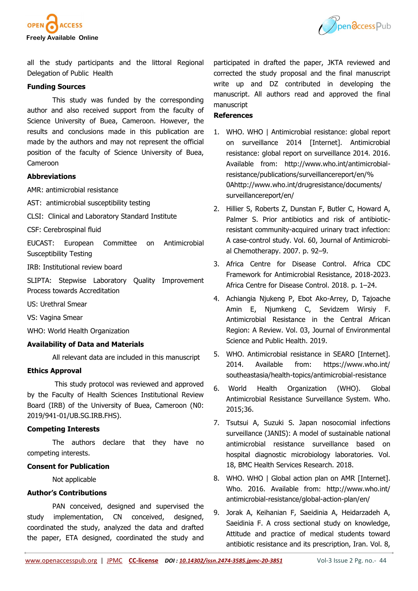![](_page_13_Picture_0.jpeg)

![](_page_13_Picture_1.jpeg)

all the study participants and the littoral Regional Delegation of Public Health

### **Funding Sources**

This study was funded by the corresponding author and also received support from the faculty of Science University of Buea, Cameroon. However, the results and conclusions made in this publication are made by the authors and may not represent the official position of the faculty of Science University of Buea, Cameroon

### **Abbreviations**

AMR: antimicrobial resistance

AST: antimicrobial susceptibility testing

CLSI: Clinical and Laboratory Standard Institute

CSF: Cerebrospinal fluid

EUCAST: European Committee on Antimicrobial Susceptibility Testing

IRB: Institutional review board

SLIPTA: Stepwise Laboratory Quality Improvement Process towards Accreditation

US: Urethral Smear

VS: Vagina Smear

WHO: World Health Organization

## **Availability of Data and Materials**

All relevant data are included in this manuscript

### **Ethics Approval**

This study protocol was reviewed and approved by the Faculty of Health Sciences Institutional Review Board (IRB) of the University of Buea, Cameroon (N0: 2019/941-01/UB.SG.IRB.FHS).

## **Competing Interests**

The authors declare that they have no competing interests.

### **Consent for Publication**

Not applicable

## **Author's Contributions**

PAN conceived, designed and supervised the study implementation, CN conceived, designed, coordinated the study, analyzed the data and drafted the paper, ETA designed, coordinated the study and

participated in drafted the paper, JKTA reviewed and corrected the study proposal and the final manuscript write up and DZ contributed in developing the manuscript. All authors read and approved the final manuscript

# **References**

- 1. WHO. WHO | Antimicrobial resistance: global report on surveillance 2014 [Internet]. Antimicrobial resistance: global report on surveillance 2014. 2016. Available from: http://www.who.int/antimicrobialresistance/publications/surveillancereport/en/% 0Ahttp://www.who.int/drugresistance/documents/ surveillancereport/en/
- 2. Hillier S, Roberts Z, Dunstan F, Butler C, Howard A, Palmer S. Prior antibiotics and risk of antibioticresistant community-acquired urinary tract infection: A case-control study. Vol. 60, Journal of Antimicrobial Chemotherapy. 2007. p. 92–9.
- 3. Africa Centre for Disease Control. Africa CDC Framework for Antimicrobial Resistance, 2018-2023. Africa Centre for Disease Control. 2018. p. 1–24.
- 4. Achiangia Njukeng P, Ebot Ako-Arrey, D, Tajoache Amin E, Njumkeng C, Sevidzem Wirsiy F. Antimicrobial Resistance in the Central African Region: A Review. Vol. 03, Journal of Environmental Science and Public Health. 2019.
- 5. WHO. Antimicrobial resistance in SEARO [Internet]. 2014. Available from: https://www.who.int/ southeastasia/health-topics/antimicrobial-resistance
- 6. World Health Organization (WHO). Global Antimicrobial Resistance Surveillance System. Who. 2015;36.
- 7. Tsutsui A, Suzuki S. Japan nosocomial infections surveillance (JANIS): A model of sustainable national antimicrobial resistance surveillance based on hospital diagnostic microbiology laboratories. Vol. 18, BMC Health Services Research. 2018.
- 8. WHO. WHO | Global action plan on AMR [Internet]. Who. 2016. Available from: http://www.who.int/ antimicrobial-resistance/global-action-plan/en/
- 9. Jorak A, Keihanian F, Saeidinia A, Heidarzadeh A, Saeidinia F. A cross sectional study on knowledge, Attitude and practice of medical students toward antibiotic resistance and its prescription, Iran. Vol. 8,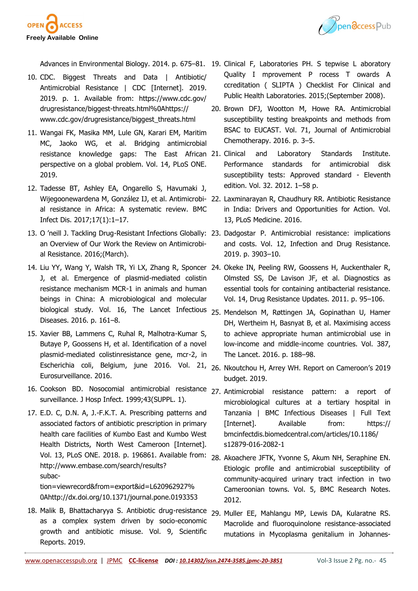![](_page_14_Picture_0.jpeg)

![](_page_14_Picture_1.jpeg)

- 10. CDC. Biggest Threats and Data | Antibiotic/ Antimicrobial Resistance | CDC [Internet]. 2019. 2019. p. 1. Available from: https://www.cdc.gov/ drugresistance/biggest-threats.html%0Ahttps:// www.cdc.gov/drugresistance/biggest\_threats.html
- 11. Wangai FK, Masika MM, Lule GN, Karari EM, Maritim MC, Jaoko WG, et al. Bridging antimicrobial resistance knowledge gaps: The East African 21. Clinical perspective on a global problem. Vol. 14, PLoS ONE. 2019.
- 12. Tadesse BT, Ashley EA, Ongarello S, Havumaki J, al resistance in Africa: A systematic review. BMC Infect Dis. 2017;17(1):1–17.
- an Overview of Our Work the Review on Antimicrobial Resistance. 2016;(March).
- 14. Liu YY, Wang Y, Walsh TR, Yi LX, Zhang R, Sponcer 24. Okeke IN, Peeling RW, Goossens H, Auckenthaler R, J, et al. Emergence of plasmid-mediated colistin resistance mechanism MCR-1 in animals and human beings in China: A microbiological and molecular biological study. Vol. 16, The Lancet Infectious 25. Mendelson M, Røttingen JA, Gopinathan U, Hamer Diseases. 2016. p. 161–8.
- 15. Xavier BB, Lammens C, Ruhal R, Malhotra-Kumar S, Butaye P, Goossens H, et al. Identification of a novel plasmid-mediated colistinresistance gene, mcr-2, in Escherichia coli, Belgium, june 2016. Vol. 21, 26. Nkoutchou H, Arrey WH. Report on Cameroon's 2019 Eurosurveillance. 2016.
- 16. Cookson BD. Nosocomial antimicrobial resistance 27. Antimicrobial resistance pattern: a report of surveillance. J Hosp Infect. 1999;43(SUPPL. 1).
- 17. E.D. C, D.N. A, J.-F.K.T. A. Prescribing patterns and associated factors of antibiotic prescription in primary health care facilities of Kumbo East and Kumbo West Health Districts, North West Cameroon [Internet]. Vol. 13, PLoS ONE. 2018. p. 196861. Available from: 28. Akoachere JFTK, Yvonne S, Akum NH, Seraphine EN. http://www.embase.com/search/results? subac-

tion=viewrecord&from=export&id=L620962927% 0Ahttp://dx.doi.org/10.1371/journal.pone.0193353

18. Malik B, Bhattacharyya S. Antibiotic drug-resistance 29. Muller EE, Mahlangu MP, Lewis DA, Kularatne RS. as a complex system driven by socio-economic growth and antibiotic misuse. Vol. 9, Scientific Reports. 2019.

- Advances in Environmental Biology. 2014. p. 675–81. 19. Clinical F, Laboratories PH. S tepwise L aboratory Quality I mprovement P rocess T owards A ccreditation ( SLIPTA ) Checklist For Clinical and Public Health Laboratories. 2015;(September 2008).
	- 20. Brown DFJ, Wootton M, Howe RA. Antimicrobial susceptibility testing breakpoints and methods from BSAC to EUCAST. Vol. 71, Journal of Antimicrobial Chemotherapy. 2016. p. 3–5.
	- and Laboratory Standards Institute. Performance standards for antimicrobial disk susceptibility tests: Approved standard - Eleventh edition. Vol. 32. 2012. 1–58 p.
- Wijegoonewardena M, González IJ, et al. Antimicrobi-22. Laxminarayan R, Chaudhury RR. Antibiotic Resistance in India: Drivers and Opportunities for Action. Vol. 13, PLoS Medicine. 2016.
- 13. O 'neill J. Tackling Drug-Resistant Infections Globally: 23. Dadgostar P. Antimicrobial resistance: implications and costs. Vol. 12, Infection and Drug Resistance. 2019. p. 3903–10.
	- Olmsted SS, De Lavison JF, et al. Diagnostics as essential tools for containing antibacterial resistance. Vol. 14, Drug Resistance Updates. 2011. p. 95–106.
	- DH, Wertheim H, Basnyat B, et al. Maximising access to achieve appropriate human antimicrobial use in low-income and middle-income countries. Vol. 387, The Lancet. 2016. p. 188–98.
	- budget. 2019.
	- microbiological cultures at a tertiary hospital in Tanzania | BMC Infectious Diseases | Full Text [Internet]. Available from: https:// bmcinfectdis.biomedcentral.com/articles/10.1186/ s12879-016-2082-1
	- Etiologic profile and antimicrobial susceptibility of community-acquired urinary tract infection in two Cameroonian towns. Vol. 5, BMC Research Notes. 2012.
	- Macrolide and fluoroquinolone resistance-associated mutations in Mycoplasma genitalium in Johannes-